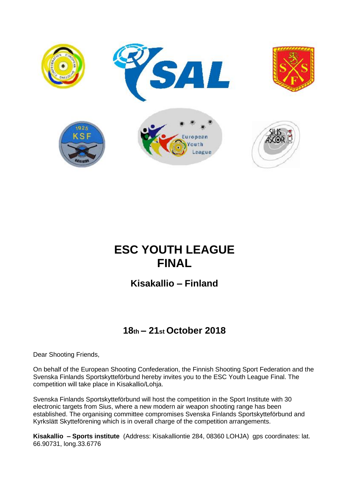

# **ESC YOUTH LEAGUE FINAL**

**Kisakallio – Finland**

## **18th – 21st October 2018**

Dear Shooting Friends,

On behalf of the European Shooting Confederation, the Finnish Shooting Sport Federation and the Svenska Finlands Sportskytteförbund hereby invites you to the ESC Youth League Final. The competition will take place in Kisakallio/Lohja.

Svenska Finlands Sportskytteförbund will host the competition in the Sport Institute with 30 electronic targets from Sius, where a new modern air weapon shooting range has been established. The organising committee compromises Svenska Finlands Sportskytteförbund and Kyrkslätt Skytteförening which is in overall charge of the competition arrangements.

**Kisakallio – Sports institute** (Address: Kisakalliontie 284, 08360 LOHJA) gps coordinates: lat. 66.90731, long.33.6776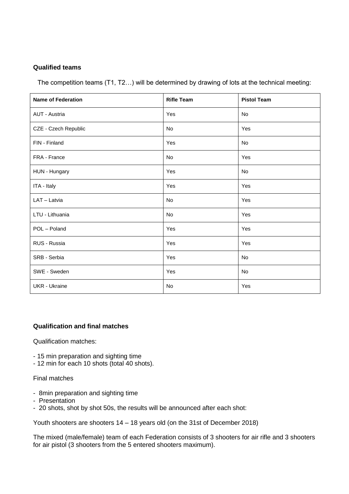#### **Qualified teams**

The competition teams (T1, T2…) will be determined by drawing of lots at the technical meeting:

| <b>Name of Federation</b> | <b>Rifle Team</b> | <b>Pistol Team</b> |
|---------------------------|-------------------|--------------------|
| <b>AUT - Austria</b>      | Yes               | No                 |
| CZE - Czech Republic      | No                | Yes                |
| FIN - Finland             | Yes               | No                 |
| FRA - France              | No                | Yes                |
| HUN - Hungary             | Yes               | <b>No</b>          |
| ITA - Italy               | Yes               | Yes                |
| LAT - Latvia              | <b>No</b>         | Yes                |
| LTU - Lithuania           | No                | Yes                |
| POL - Poland              | Yes               | Yes                |
| RUS - Russia              | Yes               | Yes                |
| SRB - Serbia              | Yes               | No                 |
| SWE - Sweden              | Yes               | No                 |
| <b>UKR</b> - Ukraine      | No                | Yes                |

#### **Qualification and final matches**

Qualification matches:

- 15 min preparation and sighting time
- 12 min for each 10 shots (total 40 shots).

Final matches

- 8min preparation and sighting time
- Presentation
- 20 shots, shot by shot 50s, the results will be announced after each shot:

Youth shooters are shooters 14 – 18 years old (on the 31st of December 2018)

The mixed (male/female) team of each Federation consists of 3 shooters for air rifle and 3 shooters for air pistol (3 shooters from the 5 entered shooters maximum).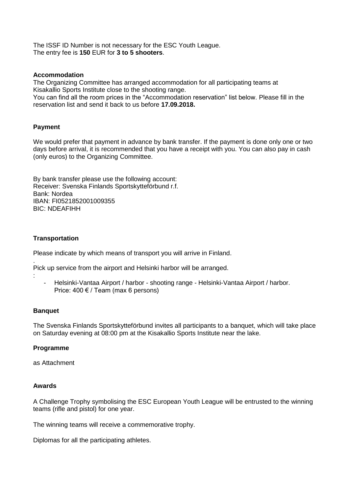The ISSF ID Number is not necessary for the ESC Youth League. The entry fee is **150** EUR for **3 to 5 shooters**.

#### **Accommodation**

The Organizing Committee has arranged accommodation for all participating teams at Kisakallio Sports Institute close to the shooting range.

You can find all the room prices in the "Accommodation reservation" list below. Please fill in the reservation list and send it back to us before **17.09.2018.**

#### **Payment**

We would prefer that payment in advance by bank transfer. If the payment is done only one or two days before arrival, it is recommended that you have a receipt with you. You can also pay in cash (only euros) to the Organizing Committee.

By bank transfer please use the following account: Receiver: Svenska Finlands Sportskytteförbund r.f. Bank: Nordea IBAN: FI0521852001009355 BIC: NDEAFIHH

#### **Transportation**

Please indicate by which means of transport you will arrive in Finland.

Pick up service from the airport and Helsinki harbor will be arranged.

- Helsinki-Vantaa Airport / harbor - shooting range - Helsinki-Vantaa Airport / harbor. Price:  $400 \notin \mathcal{V}$  Team (max 6 persons)

#### **Banquet**

.

:

The Svenska Finlands Sportskytteförbund invites all participants to a banquet, which will take place on Saturday evening at 08:00 pm at the Kisakallio Sports Institute near the lake.

#### **Programme**

as Attachment

#### **Awards**

A Challenge Trophy symbolising the ESC European Youth League will be entrusted to the winning teams (rifle and pistol) for one year.

The winning teams will receive a commemorative trophy.

Diplomas for all the participating athletes.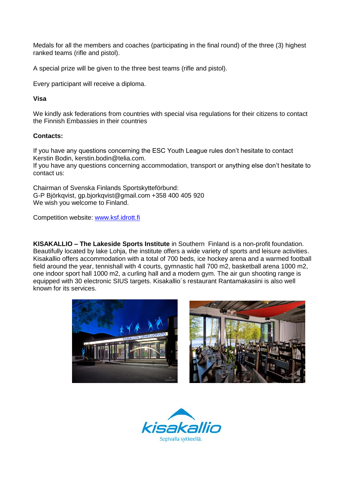Medals for all the members and coaches (participating in the final round) of the three (3) highest ranked teams (rifle and pistol).

A special prize will be given to the three best teams (rifle and pistol).

Every participant will receive a diploma.

#### **Visa**

We kindly ask federations from countries with special visa regulations for their citizens to contact the Finnish Embassies in their countries

#### **Contacts:**

If you have any questions concerning the ESC Youth League rules don't hesitate to contact Kerstin Bodin, kerstin.bodin@telia.com.

If you have any questions concerning accommodation, transport or anything else don't hesitate to contact us:

Chairman of Svenska Finlands Sportskytteförbund: G-P Björkqvist, gp.bjorkqvist@gmail.com +358 400 405 920 We wish you welcome to Finland.

Competition website: [www.ksf.idrott.fi](http://www.ksf.idrott.fi/)

**KISAKALLIO – The Lakeside Sports Institute** in Southern Finland is a non-profit foundation. Beautifully located by lake Lohja, the institute offers a wide variety of sports and leisure activities. Kisakallio offers accommodation with a total of 700 beds, ice hockey arena and a warmed football field around the year, tennishall with 4 courts, gymnastic hall 700 m2, basketball arena 1000 m2, one indoor sport hall 1000 m2, a curling hall and a modern gym. The air gun shooting range is equipped with 30 electronic SIUS targets. Kisakallio´s restaurant Rantamakasiini is also well known for its services.